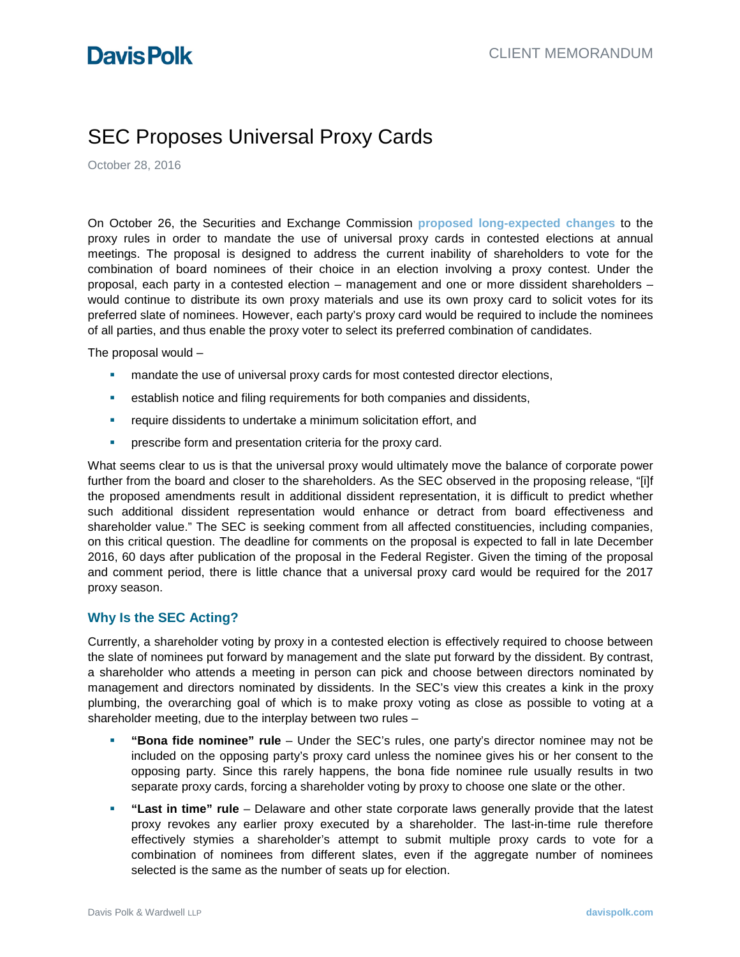# SEC Proposes Universal Proxy Cards

October 28, 2016

On October 26, the Securities and Exchange Commission **[proposed long-expected](https://www.sec.gov/rules/proposed/2016/34-79164.pdf) changes** to the proxy rules in order to mandate the use of universal proxy cards in contested elections at annual meetings. The proposal is designed to address the current inability of shareholders to vote for the combination of board nominees of their choice in an election involving a proxy contest. Under the proposal, each party in a contested election – management and one or more dissident shareholders – would continue to distribute its own proxy materials and use its own proxy card to solicit votes for its preferred slate of nominees. However, each party's proxy card would be required to include the nominees of all parties, and thus enable the proxy voter to select its preferred combination of candidates.

The proposal would –

- **EXECT** mandate the use of universal proxy cards for most contested director elections,
- establish notice and filing requirements for both companies and dissidents,
- **F** require dissidents to undertake a minimum solicitation effort, and
- **PEDITE:** prescribe form and presentation criteria for the proxy card.

What seems clear to us is that the universal proxy would ultimately move the balance of corporate power further from the board and closer to the shareholders. As the SEC observed in the proposing release, "[i]f the proposed amendments result in additional dissident representation, it is difficult to predict whether such additional dissident representation would enhance or detract from board effectiveness and shareholder value." The SEC is seeking comment from all affected constituencies, including companies, on this critical question. The deadline for comments on the proposal is expected to fall in late December 2016, 60 days after publication of the proposal in the Federal Register. Given the timing of the proposal and comment period, there is little chance that a universal proxy card would be required for the 2017 proxy season.

## **Why Is the SEC Acting?**

Currently, a shareholder voting by proxy in a contested election is effectively required to choose between the slate of nominees put forward by management and the slate put forward by the dissident. By contrast, a shareholder who attends a meeting in person can pick and choose between directors nominated by management and directors nominated by dissidents. In the SEC's view this creates a kink in the proxy plumbing, the overarching goal of which is to make proxy voting as close as possible to voting at a shareholder meeting, due to the interplay between two rules –

- **"Bona fide nominee" rule** Under the SEC's rules, one party's director nominee may not be included on the opposing party's proxy card unless the nominee gives his or her consent to the opposing party. Since this rarely happens, the bona fide nominee rule usually results in two separate proxy cards, forcing a shareholder voting by proxy to choose one slate or the other.
- **"Last in time" rule** Delaware and other state corporate laws generally provide that the latest proxy revokes any earlier proxy executed by a shareholder. The last-in-time rule therefore effectively stymies a shareholder's attempt to submit multiple proxy cards to vote for a combination of nominees from different slates, even if the aggregate number of nominees selected is the same as the number of seats up for election.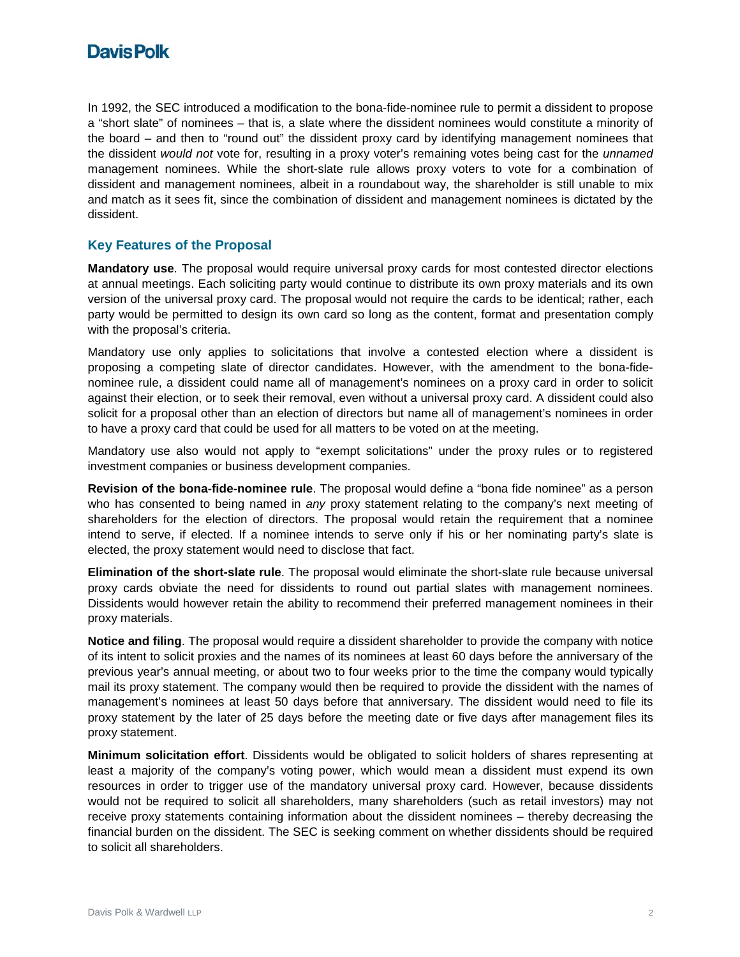

In 1992, the SEC introduced a modification to the bona-fide-nominee rule to permit a dissident to propose a "short slate" of nominees – that is, a slate where the dissident nominees would constitute a minority of the board – and then to "round out" the dissident proxy card by identifying management nominees that the dissident *would not* vote for, resulting in a proxy voter's remaining votes being cast for the *unnamed* management nominees. While the short-slate rule allows proxy voters to vote for a combination of dissident and management nominees, albeit in a roundabout way, the shareholder is still unable to mix and match as it sees fit, since the combination of dissident and management nominees is dictated by the dissident.

### **Key Features of the Proposal**

**Mandatory use**. The proposal would require universal proxy cards for most contested director elections at annual meetings. Each soliciting party would continue to distribute its own proxy materials and its own version of the universal proxy card. The proposal would not require the cards to be identical; rather, each party would be permitted to design its own card so long as the content, format and presentation comply with the proposal's criteria.

Mandatory use only applies to solicitations that involve a contested election where a dissident is proposing a competing slate of director candidates. However, with the amendment to the bona-fidenominee rule, a dissident could name all of management's nominees on a proxy card in order to solicit against their election, or to seek their removal, even without a universal proxy card. A dissident could also solicit for a proposal other than an election of directors but name all of management's nominees in order to have a proxy card that could be used for all matters to be voted on at the meeting.

Mandatory use also would not apply to "exempt solicitations" under the proxy rules or to registered investment companies or business development companies.

**Revision of the bona-fide-nominee rule**. The proposal would define a "bona fide nominee" as a person who has consented to being named in *any* proxy statement relating to the company's next meeting of shareholders for the election of directors. The proposal would retain the requirement that a nominee intend to serve, if elected. If a nominee intends to serve only if his or her nominating party's slate is elected, the proxy statement would need to disclose that fact.

**Elimination of the short-slate rule**. The proposal would eliminate the short-slate rule because universal proxy cards obviate the need for dissidents to round out partial slates with management nominees. Dissidents would however retain the ability to recommend their preferred management nominees in their proxy materials.

**Notice and filing**. The proposal would require a dissident shareholder to provide the company with notice of its intent to solicit proxies and the names of its nominees at least 60 days before the anniversary of the previous year's annual meeting, or about two to four weeks prior to the time the company would typically mail its proxy statement. The company would then be required to provide the dissident with the names of management's nominees at least 50 days before that anniversary. The dissident would need to file its proxy statement by the later of 25 days before the meeting date or five days after management files its proxy statement.

**Minimum solicitation effort**. Dissidents would be obligated to solicit holders of shares representing at least a majority of the company's voting power, which would mean a dissident must expend its own resources in order to trigger use of the mandatory universal proxy card. However, because dissidents would not be required to solicit all shareholders, many shareholders (such as retail investors) may not receive proxy statements containing information about the dissident nominees – thereby decreasing the financial burden on the dissident. The SEC is seeking comment on whether dissidents should be required to solicit all shareholders.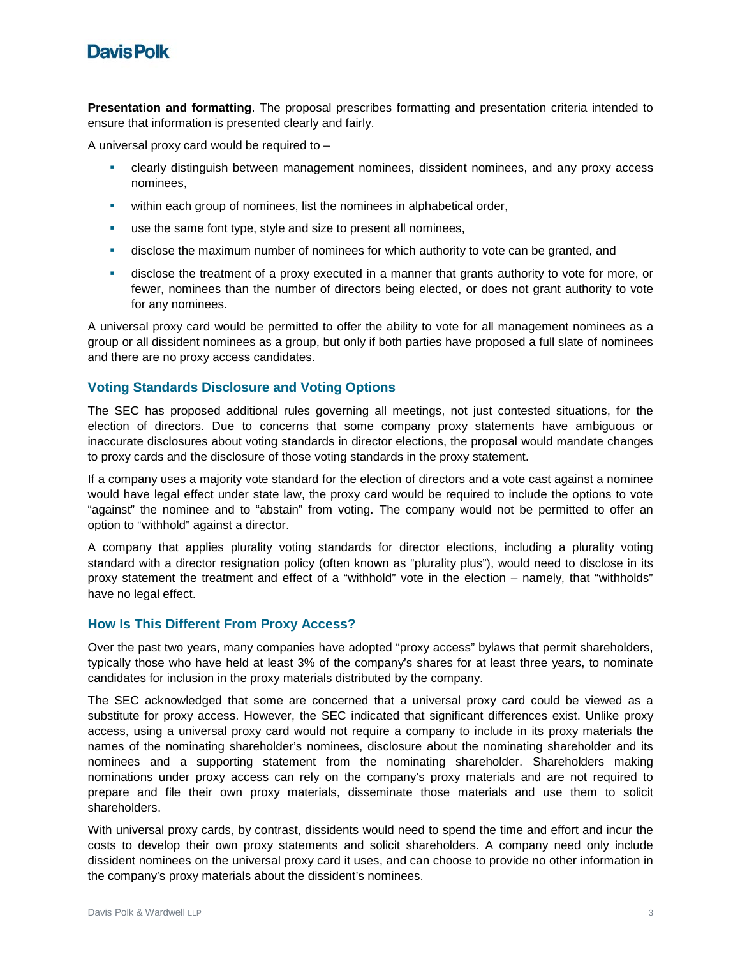# **DavisPolk**

**Presentation and formatting**. The proposal prescribes formatting and presentation criteria intended to ensure that information is presented clearly and fairly.

A universal proxy card would be required to –

- clearly distinguish between management nominees, dissident nominees, and any proxy access nominees,
- **•** within each group of nominees, list the nominees in alphabetical order,
- use the same font type, style and size to present all nominees,
- **EXED** disclose the maximum number of nominees for which authority to vote can be granted, and
- disclose the treatment of a proxy executed in a manner that grants authority to vote for more, or fewer, nominees than the number of directors being elected, or does not grant authority to vote for any nominees.

A universal proxy card would be permitted to offer the ability to vote for all management nominees as a group or all dissident nominees as a group, but only if both parties have proposed a full slate of nominees and there are no proxy access candidates.

## **Voting Standards Disclosure and Voting Options**

The SEC has proposed additional rules governing all meetings, not just contested situations, for the election of directors. Due to concerns that some company proxy statements have ambiguous or inaccurate disclosures about voting standards in director elections, the proposal would mandate changes to proxy cards and the disclosure of those voting standards in the proxy statement.

If a company uses a majority vote standard for the election of directors and a vote cast against a nominee would have legal effect under state law, the proxy card would be required to include the options to vote "against" the nominee and to "abstain" from voting. The company would not be permitted to offer an option to "withhold" against a director.

A company that applies plurality voting standards for director elections, including a plurality voting standard with a director resignation policy (often known as "plurality plus"), would need to disclose in its proxy statement the treatment and effect of a "withhold" vote in the election – namely, that "withholds" have no legal effect.

#### **How Is This Different From Proxy Access?**

Over the past two years, many companies have adopted "proxy access" bylaws that permit shareholders, typically those who have held at least 3% of the company's shares for at least three years, to nominate candidates for inclusion in the proxy materials distributed by the company.

The SEC acknowledged that some are concerned that a universal proxy card could be viewed as a substitute for proxy access. However, the SEC indicated that significant differences exist. Unlike proxy access, using a universal proxy card would not require a company to include in its proxy materials the names of the nominating shareholder's nominees, disclosure about the nominating shareholder and its nominees and a supporting statement from the nominating shareholder. Shareholders making nominations under proxy access can rely on the company's proxy materials and are not required to prepare and file their own proxy materials, disseminate those materials and use them to solicit shareholders.

With universal proxy cards, by contrast, dissidents would need to spend the time and effort and incur the costs to develop their own proxy statements and solicit shareholders. A company need only include dissident nominees on the universal proxy card it uses, and can choose to provide no other information in the company's proxy materials about the dissident's nominees.